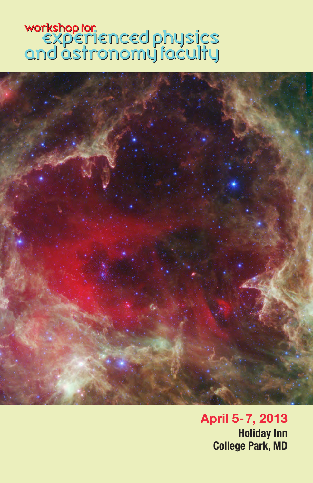# workshop for.<br>EXPETIENCEd physics<br>and astronomy faculty



April 5-7, 2013 Holiday Inn College Park, MD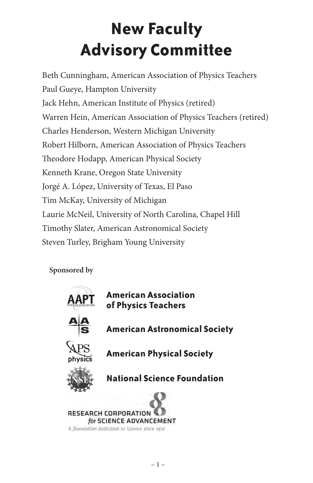# **New Faculty Advisory Committee**

Beth Cunningham, American Association of Physics Teachers Paul Gueye, Hampton University Jack Hehn, American Institute of Physics (retired) Warren Hein, American Association of Physics Teachers (retired) Charles Henderson, Western Michigan University Robert Hilborn, American Association of Physics Teachers Theodore Hodapp, American Physical Society Kenneth Krane, Oregon State University Jorgé A. López, University of Texas, El Paso Tim McKay, University of Michigan Laurie McNeil, University of North Carolina, Chapel Hill Timothy Slater, American Astronomical Society Steven Turley, Brigham Young University

**Sponsored by** 

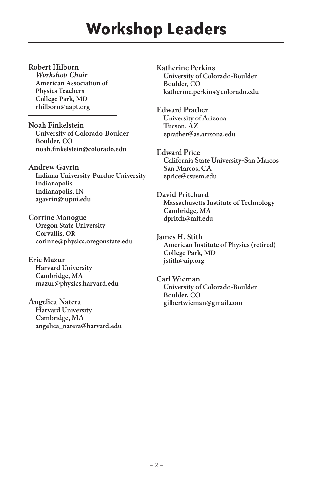### **Workshop Leaders**

**Robert Hilborn** *Workshop Chair* **American Association of Physics Teachers College Park, MD rhilborn@aapt.org**

**Noah Finkelstein University of Colorado-Boulder Boulder, CO noah.finkelstein@colorado.edu**

**Andrew Gavrin Indiana University-Purdue University-Indianapolis Indianapolis, IN agavrin@iupui.edu**

**Corrine Manogue Oregon State University Corvallis, OR corinne@physics.oregonstate.edu**

**Eric Mazur Harvard University Cambridge, MA mazur@physics.harvard.edu**

**Angelica Natera Harvard University Cambridge, MA angelica\_natera@harvard.edu** **Katherine Perkins University of Colorado-Boulder Boulder, CO katherine.perkins@colorado.edu**

**Edward Prather University of Arizona Tucson, AZ eprather@as.arizona.edu**

**Edward Price California State University-San Marcos San Marcos, CA eprice@csusm.edu**

**David Pritchard Massachusetts Institute of Technology Cambridge, MA dpritch@mit.edu**

**James H. Stith American Institute of Physics (retired) College Park, MD jstith@aip.org**

**Carl Wieman University of Colorado-Boulder Boulder, CO gilbertwieman@gmail.com**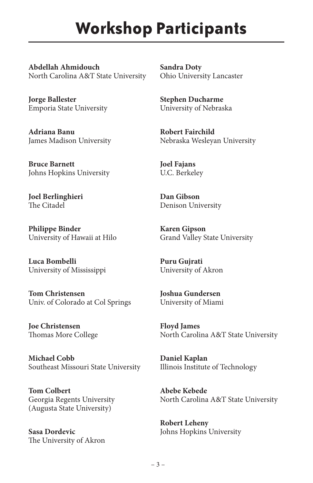#### **Workshop Participants**

**Abdellah Ahmidouch** North Carolina A&T State University

**Jorge Ballester** Emporia State University

**Adriana Banu** James Madison University

**Bruce Barnett** Johns Hopkins University

**Joel Berlinghieri** The Citadel

**Philippe Binder** University of Hawaii at Hilo

**Luca Bombelli** University of Mississippi

**Tom Christensen** Univ. of Colorado at Col Springs

**Joe Christensen** Thomas More College

**Michael Cobb** Southeast Missouri State University

**Tom Colbert** Georgia Regents University (Augusta State University)

**Sasa Dordevic** The University of Akron **Sandra Doty** Ohio University Lancaster

**Stephen Ducharme** University of Nebraska

**Robert Fairchild** Nebraska Wesleyan University

**Joel Fajans** U.C. Berkeley

**Dan Gibson** Denison University

**Karen Gipson** Grand Valley State University

**Puru Gujrati** University of Akron

**Joshua Gundersen** University of Miami

**Floyd James** North Carolina A&T State University

**Daniel Kaplan** Illinois Institute of Technology

**Abebe Kebede** North Carolina A&T State University

**Robert Leheny** Johns Hopkins University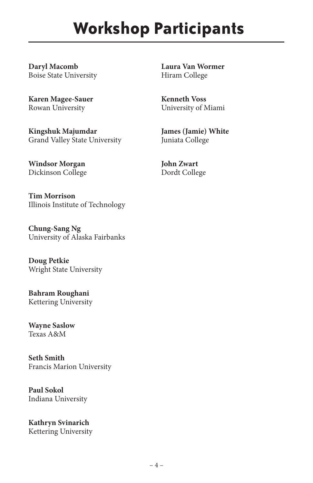## **Workshop Participants**

**Daryl Macomb** Boise State University

**Karen Magee-Sauer** Rowan University

**Kingshuk Majumdar** Grand Valley State University

**Windsor Morgan** Dickinson College

**Tim Morrison** Illinois Institute of Technology

**Chung-Sang Ng** University of Alaska Fairbanks

**Doug Petkie** Wright State University

**Bahram Roughani** Kettering University

**Wayne Saslow** Texas A&M

**Seth Smith** Francis Marion University

**Paul Sokol** Indiana University

**Kathryn Svinarich** Kettering University **Laura Van Wormer** Hiram College

**Kenneth Voss** University of Miami

**James (Jamie) White** Juniata College

**John Zwart** Dordt College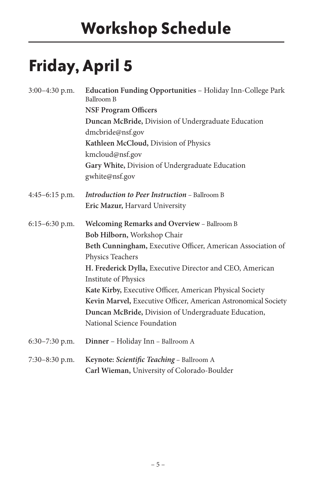# **Friday, April 5**

| 3:00-4:30 p.m.   | Education Funding Opportunities - Holiday Inn-College Park<br>Ballroom B |
|------------------|--------------------------------------------------------------------------|
|                  | <b>NSF Program Officers</b>                                              |
|                  | Duncan McBride, Division of Undergraduate Education                      |
|                  | dmcbride@nsf.gov                                                         |
|                  | Kathleen McCloud, Division of Physics                                    |
|                  | kmcloud@nsf.gov                                                          |
|                  | Gary White, Division of Undergraduate Education                          |
|                  | gwhite@nsf.gov                                                           |
| $4:45-6:15$ p.m. | Introduction to Peer Instruction - Ballroom B                            |
|                  | Eric Mazur, Harvard University                                           |
| 6:15-6:30 p.m.   | Welcoming Remarks and Overview - Ballroom B                              |
|                  | Bob Hilborn, Workshop Chair                                              |
|                  | Beth Cunningham, Executive Officer, American Association of              |
|                  | Physics Teachers                                                         |
|                  | H. Frederick Dylla, Executive Director and CEO, American                 |
|                  | <b>Institute of Physics</b>                                              |
|                  | Kate Kirby, Executive Officer, American Physical Society                 |
|                  | Kevin Marvel, Executive Officer, American Astronomical Society           |
|                  | Duncan McBride, Division of Undergraduate Education,                     |
|                  | National Science Foundation                                              |
| $6:30-7:30$ p.m. | Dinner - Holiday Inn - Ballroom A                                        |
| 7:30-8:30 p.m.   | Keynote: Scientific Teaching - Ballroom A                                |
|                  | Carl Wieman, University of Colorado-Boulder                              |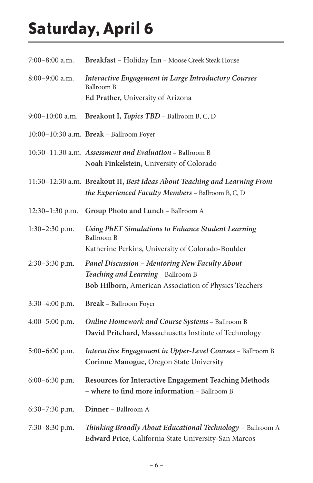# **Saturday, April 6**

| 7:00–8:00 a.m.   | Breakfast - Holiday Inn - Moose Creek Steak House                                                                                             |
|------------------|-----------------------------------------------------------------------------------------------------------------------------------------------|
| 8:00-9:00 a.m.   | <b>Interactive Engagement in Large Introductory Courses</b><br>Ballroom B<br>Ed Prather, University of Arizona                                |
| 9:00-10:00 a.m.  | <b>Breakout I, Topics TBD</b> – Ballroom B, C, D                                                                                              |
|                  | 10:00-10:30 a.m. Break - Ballroom Foyer                                                                                                       |
|                  | 10:30-11:30 a.m. Assessment and Evaluation - Ballroom B<br>Noah Finkelstein, University of Colorado                                           |
|                  | 11:30-12:30 a.m. Breakout II, Best Ideas About Teaching and Learning From<br>the Experienced Faculty Members - Ballroom B, C, D               |
| 12:30-1:30 p.m.  | Group Photo and Lunch - Ballroom A                                                                                                            |
| 1:30-2:30 p.m.   | Using PhET Simulations to Enhance Student Learning<br>Ballroom B<br>Katherine Perkins, University of Colorado-Boulder                         |
| 2:30-3:30 p.m.   | Panel Discussion - Mentoring New Faculty About<br>Teaching and Learning - Ballroom B<br>Bob Hilborn, American Association of Physics Teachers |
| $3:30-4:00$ p.m. | <b>Break</b> – Ballroom Foyer                                                                                                                 |
| 4:00-5:00 p.m.   | Online Homework and Course Systems - Ballroom B<br>David Pritchard, Massachusetts Institute of Technology                                     |
| 5:00-6:00 p.m.   | Interactive Engagement in Upper-Level Courses - Ballroom B<br>Corinne Manogue, Oregon State University                                        |
| 6:00-6:30 p.m.   | Resources for Interactive Engagement Teaching Methods<br>- where to find more information - Ballroom B                                        |
| 6:30-7:30 p.m.   | Dinner – Ballroom A                                                                                                                           |
| 7:30–8:30 p.m.   | Thinking Broadly About Educational Technology - Ballroom A<br>Edward Price, California State University-San Marcos                            |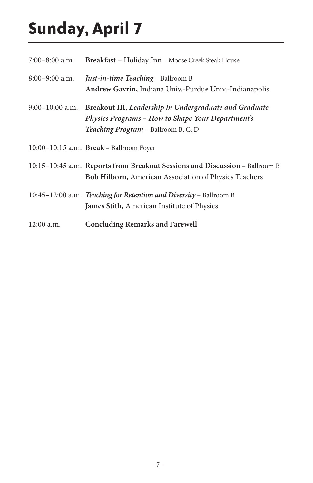# **Sunday, April 7**

| 7:00-8:00 a.m.  | Breakfast - Holiday Inn - Moose Creek Steak House                                                                                                  |
|-----------------|----------------------------------------------------------------------------------------------------------------------------------------------------|
| 8:00-9:00 a.m.  | Just-in-time Teaching - Ballroom B<br>Andrew Gavrin, Indiana Univ.-Purdue Univ.-Indianapolis                                                       |
| 9:00-10:00 a.m. | Breakout III, Leadership in Undergraduate and Graduate<br>Physics Programs - How to Shape Your Department's<br>Teaching Program - Ballroom B, C, D |
|                 | $10:00-10:15$ a.m. Break – Ballroom Foyer                                                                                                          |
|                 | 10:15-10:45 a.m. Reports from Breakout Sessions and Discussion - Ballroom B<br><b>Bob Hilborn, American Association of Physics Teachers</b>        |
|                 | 10:45-12:00 a.m. Teaching for Retention and Diversity - Ballroom B<br>James Stith, American Institute of Physics                                   |
| 12:00 a.m.      | <b>Concluding Remarks and Farewell</b>                                                                                                             |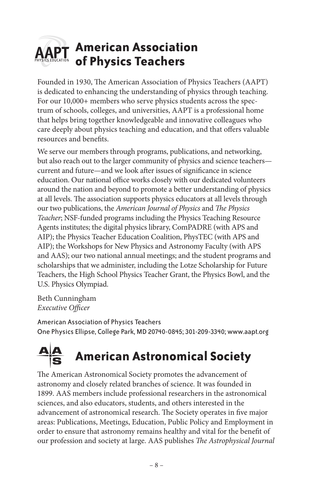#### **American Association of Physics Teachers**

Founded in 1930, The American Association of Physics Teachers (AAPT) is dedicated to enhancing the understanding of physics through teaching. For our 10,000+ members who serve physics students across the spectrum of schools, colleges, and universities, AAPT is a professional home that helps bring together knowledgeable and innovative colleagues who care deeply about physics teaching and education, and that offers valuable resources and benefits.

We serve our members through programs, publications, and networking, but also reach out to the larger community of physics and science teachers current and future—and we look after issues of significance in science education. Our national office works closely with our dedicated volunteers around the nation and beyond to promote a better understanding of physics at all levels. The association supports physics educators at all levels through our two publications, the *American Journal of Physics* and *The Physics Teacher*; NSF-funded programs including the Physics Teaching Resource Agents institutes; the digital physics library, ComPADRE (with APS and AIP); the Physics Teacher Education Coalition, PhysTEC (with APS and AIP); the Workshops for New Physics and Astronomy Faculty (with APS and AAS); our two national annual meetings; and the student programs and scholarships that we administer, including the Lotze Scholarship for Future Teachers, the High School Physics Teacher Grant, the Physics Bowl, and the U.S. Physics Olympiad.

Beth Cunningham *Executive Officer*

American Association of Physics Teachers One Physics Ellipse, College Park, MD 20740-0845; 301-209-3340; www.aapt.org

### **American Astronomical Society**

The American Astronomical Society promotes the advancement of American Astronomical Societyastronomy and closely related branches of science. It was founded in 1899. AAS members include professional researchers in the astronomical sciences, and also educators, students, and others interested in the advancement of astronomical research. The Society operates in five major areas: Publications, Meetings, Education, Public Policy and Employment in order to ensure that astronomy remains healthy and vital for the benefit of our profession and society at large. AAS publishes *The Astrophysical Journal*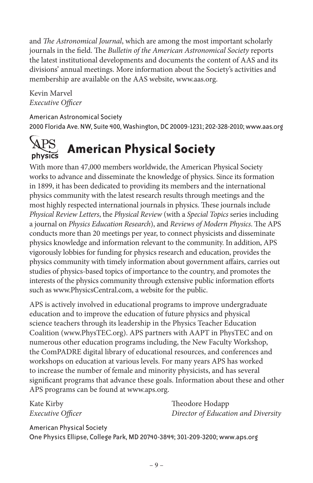and *The Astronomical Journal*, which are among the most important scholarly journals in the field. The *Bulletin of the American Astronomical Society* reports the latest institutional developments and documents the content of AAS and its divisions' annual meetings. More information about the Society's activities and membership are available on the AAS website, www.aas.org.

Kevin Marvel *Executive Officer*

American Astronomical Society 2000 Florida Ave. NW, Suite 400, Washington, DC 20009-1231; 202-328-2010; www.aas.org



#### **American Physical Society**

With more than 47,000 members worldwide, the American Physical Society works to advance and disseminate the knowledge of physics. Since its formation in 1899, it has been dedicated to providing its members and the international physics community with the latest research results through meetings and the most highly respected international journals in physics. These journals include *Physical Review Letters*, the *Physical Review* (with a *Special Topics* series including a journal on *Physics Education Research*), and *Reviews of Modern Physics*. The APS conducts more than 20 meetings per year, to connect physicists and disseminate physics knowledge and information relevant to the community. In addition, APS vigorously lobbies for funding for physics research and education, provides the physics community with timely information about government affairs, carries out studies of physics-based topics of importance to the country, and promotes the interests of the physics community through extensive public information efforts such as www.PhysicsCentral.com, a website for the public.

APS is actively involved in educational programs to improve undergraduate education and to improve the education of future physics and physical science teachers through its leadership in the Physics Teacher Education Coalition (www.PhysTEC.org). APS partners with AAPT in PhysTEC and on numerous other education programs including, the New Faculty Workshop, the ComPADRE digital library of educational resources, and conferences and workshops on education at various levels. For many years APS has worked to increase the number of female and minority physicists, and has several significant programs that advance these goals. Information about these and other APS programs can be found at www.aps.org.

Kate Kirby Theodore Hodapp *Executive Officer Director of Education and Diversity*

American Physical Society One Physics Ellipse, College Park, MD 20740-3844; 301-209-3200; www.aps.org